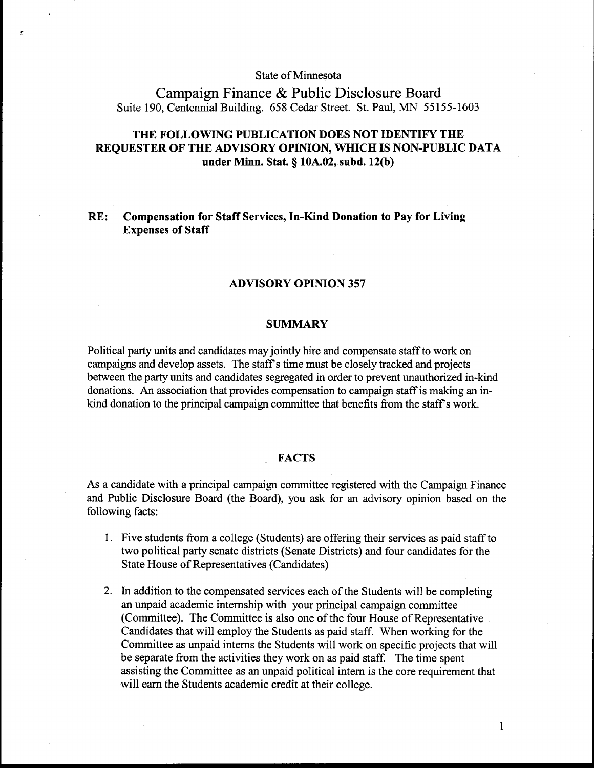## State of Minnesota

# Campaign Finance & Public Disclosure Board Suite 190, Centennial Building. 658 Cedar Street. St. Paul, MN 55155-1603

## **THE FOLLOWING PUBLICATION DOES NOT IDENTIFY THE REQUESTER OF THE ADVISORY OPINION, WHICH IS NON-PUBLIC DATA under Minn. Stat.** *5* **10A.02, subd. 1200)**

## **RE: Compensation for Staff Services, In-Kind Donation to Pay for Living Expenses of Staff**

## **ADVISORY OPINION 357**

#### **SUMMARY**

Political party units and candidates may jointly hire and compensate staff to work on campaigns and develop assets. The staff's time must be closely tracked and projects between the party units and candidates segregated in order to prevent unauthorized in-kind donations. An association that provides compensation to campaign staff is making an inkind donation to the principal campaign committee that benefits from the staff's work.

#### **FACTS**

As a candidate with a principal campaign committee registered with the Campaign Finance and Public Disclosure Board (the Board), you ask for an advisory opinion based on the following facts:

- 1. Five students from a college (Students) are offering their services as paid staff to two political party senate districts (Senate Districts) and four candidates for the State House of Representatives (Candidates)
- 2. In addition to the compensated services each of the Students will be completing an unpaid academic internship with your principal campaign committee (Committee). The Committee is also one of the four House of Representative Candidates that will employ the Students as paid staff. When working for the Committee as unpaid interns the Students will work on specific projects that will be separate from the activities they work on as paid staff. The time spent assisting the Committee as an unpaid political intern is the core requirement that will earn the Students academic credit at their college.

 $\mathbf{1}$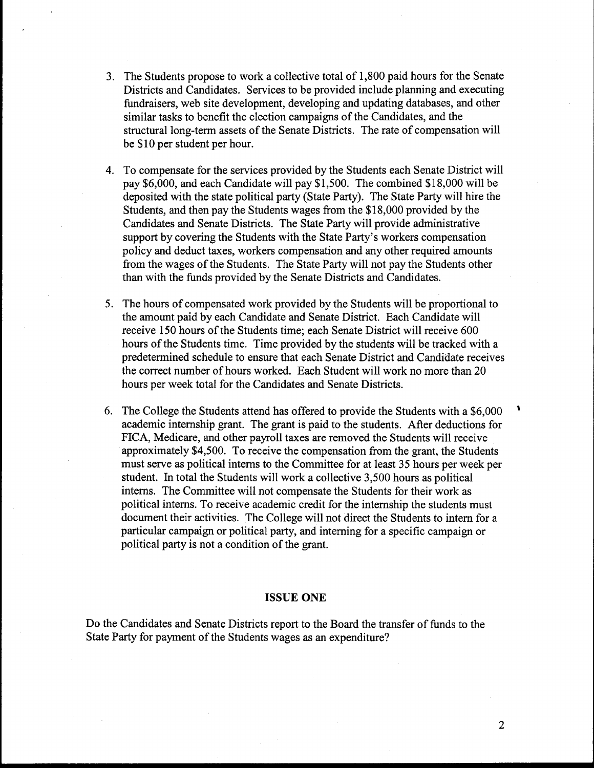- 3. The Students propose to work a collective total of 1,800 paid hours for the Senate Districts and Candidates. Services to be provided include planning and executing fundraisers, web site development, developing and updating databases, and other similar tasks to benefit the election campaigns of the Candidates, and the structural long-term assets of the Senate Districts. The rate of compensation will be \$10 per student per hour.
- 4. To compensate for the services provided by the Students each Senate District will pay \$6,000, and each Candidate will pay \$1,500. The combined \$18,000 will be deposited with the state political party (State Party). The State Party will hire the Students, and then pay the Students wages from the \$18,000 provided by the Candidates and Senate Districts. The State Party will provide administrative support by covering the Students with the State Party's workers compensation policy and deduct taxes, workers compensation and any other required amounts from the wages of the Students. The State Party will not pay the Students other than with the funds provided by the Senate Districts and Candidates.
- 5. The hours of compensated work provided by the Students will be proportional to the amount paid by each Candidate and Senate District. Each Candidate will receive 150 hours of the Students time; each Senate District will receive 600 hours of the Students time. Time provided by the students will be tracked with a predetermined schedule to ensure that each Senate District and Candidate receives the correct number of hours worked. Each Student will work no more than 20 hours per week total for the Candidates and Senate Districts.
- 6. The College the Students attend has offered to provide the Students with a  $$6,000$   $\phantom{0}$ academic internship grant. The grant is paid to the students. After deductions for FICA, Medicare, and other payroll taxes are removed the Students will receive approximately \$4,500. To receive the compensation from the grant, the Students must serve as political interns to the Committee for at least 35 hours per week per student. In total the Students will work a collective 3,500 hours as political interns. The Committee will not compensate the Students for their work as political interns. To receive academic credit for the internship the students must document their activities. The College will not direct the Students to intern for a particular campaign or political party, and interning for a specific campaign or political party is not a condition of the grant.

## **ISSUE ONE**

Do the Candidates and Senate Districts report to the Board the transfer of funds to the State Party for payment of the Students wages as an expenditure?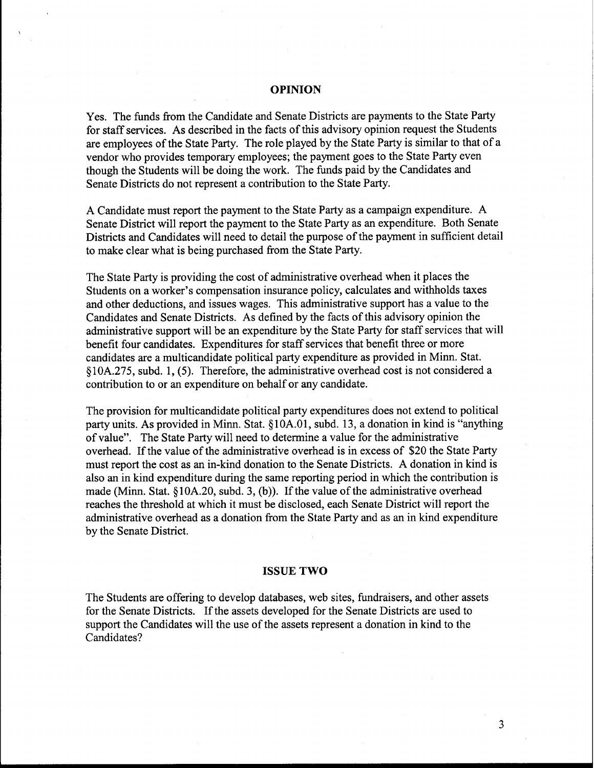## **OPINION**

Yes. The funds from the Candidate and Senate Districts are payments to the State Party for staff services. As described in the facts of this advisory opinion request the Students are employees of the State Party. The role played by the State Party is similar to that of a vendor who provides temporary employees; the payment goes to the State Party even though the Students will be doing the work. The funds paid by the Candidates and Senate Districts do not represent a contribution to the State Party.

A Candidate must report the payment to the State Party as a campaign expenditure. A Senate District will report the payment to the State Party as an expenditure. Both Senate Districts and Candidates will need to detail the purpose of the payment in sufficient detail to make clear what is being purchased from the State Party.

The State Party is providing the cost of administrative overhead when it places the Students on a worker's compensation insurance policy, calculates and withholds taxes and other deductions, and issues wages. This administrative support has a value to the Candidates and Senate Districts. As defined by the facts of this advisory opinion the administrative support will be an expenditure by the State Party for staff services that will benefit four candidates. Expenditures for staff services that benefit three or more candidates are a multicandidate political party expenditure as provided in Minn. Stat. **9** 10A.275, subd. 1, (5). Therefore, the administrative overhead cost is not considered a contribution to or an expenditure on behalf or any candidate.

The provision for multicandidate political party expenditures does not extend to political party units. As provided in Minn. Stat. §10A.01, subd. 13, a donation in kind is "anything of value". The State Party will need to determine a value for the administrative overhead. If the value of the administrative overhead is in excess of \$20 the State Party must report the cost as an in-kind donation to the Senate Districts. A donation in kind is also an in kind expenditure during the same reporting period in which the contribution is made (Minn. Stat.  $\S$ 10A.20, subd. 3, (b)). If the value of the administrative overhead reaches the threshold at which it must be disclosed, each Senate District will report the administrative overhead as a donation from the State Party and as an in kind expenditure by the Senate District.

### **ISSUE TWO**

The Students are offering to develop databases, web sites, fundraisers, and other assets for the Senate Districts. If the assets developed for the Senate Districts are used to support the Candidates will the use of the assets represent a donation in kind to the Candidates?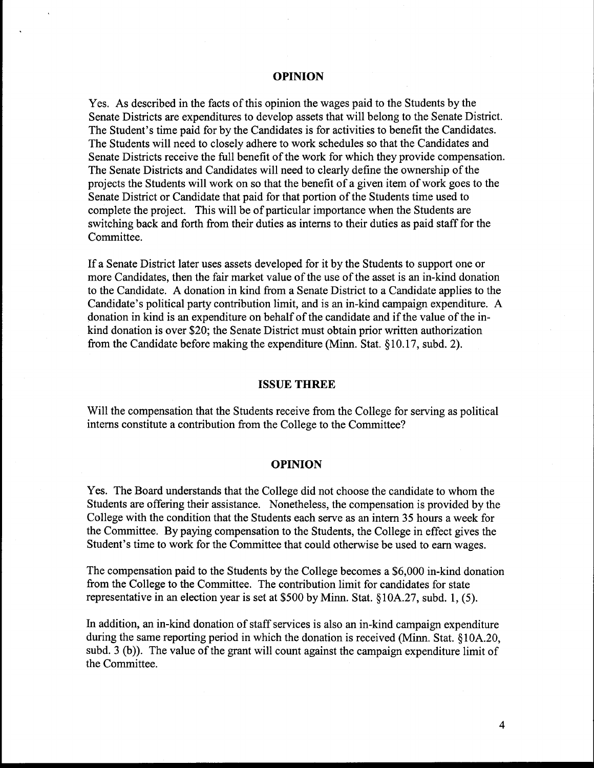### **OPINION**

Yes. As described in the facts of this opinion the wages paid to the Students by the Senate Districts are expenditures to develop assets that will belong to the Senate District. The Student's time paid for by the Candidates is for activities to benefit the Candidates. The Students will need to closely adhere to work schedules so that the Candidates and Senate Districts receive the full benefit of the work for which they provide compensation. The Senate Districts and Candidates will need to clearly define the ownership of the projects the Students will work on so that the benefit of a given item of work goes to the Senate District or Candidate that paid for that portion of the Students time used to complete the project. This will be of particular importance when the Students are switching back and forth from their duties as interns to their duties as paid staff for the Committee.

If a Senate District later uses assets developed for it by the Students to support one or more Candidates, then the fair market value of the use of the asset is an in-kind donation to the Candidate. A donation in kind from a Senate District to a Candidate applies to the Candidate's political party contribution limit, and is **an** in-kind campaign expenditure. A donation in kind is an expenditure on behalf of the candidate and if the value of the inkind donation is over \$20; the Senate District must obtain prior written authorization from the Candidate before making the expenditure (Minn. Stat. **5** 10.17, subd. 2).

## **ISSUE THREE**

Will the compensation that the Students receive from the College for serving as political interns constitute a contribution from the College to the Committee?

## **OPINION**

Yes. The Board understands that the College did not choose the candidate to whom the Students are offering their assistance. Nonetheless, the compensation is provided by the College with the condition that the Students each serve as **an** intern 35 hours a week for the Committee. By paying compensation to the Students, the College in effect gives the Student's time to work for the Committee that could otherwise be used to earn wages.

The compensation paid to the Students by the College becomes a \$6,000 in-kind donation from the College to the Committee. The contribution limit for candidates for state representative in an election year is set at \$500 by Minn. Stat. §10A.27, subd. 1, (5).

In addition, an in-kind donation of staff services is also an in-kind campaign expenditure during the same reporting period in which the donation is received (Minn. Stat.  $$10A.20$ , subd. 3 (b)). The value of the grant will count against the campaign expenditure limit of the Committee.

 $\overline{\mathbf{4}}$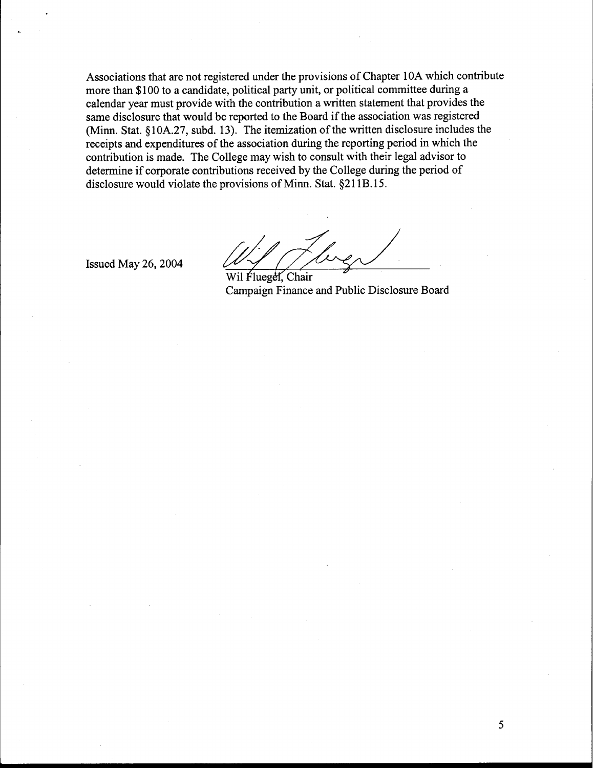Associations that are not registered under the provisions of Chapter 10A which contribute more than \$100 to a candidate, political party unit, or political committee during a calendar year must provide with the contribution a written statement that provides the same disclosure that would be reported to the Board if the association was registered (Minn. Stat. § lOA.27, subd. 13). The itemization of the written disclosure includes the receipts and expenditures of the association during the reporting period in which the contribution is made. The College may wish to consult with their legal advisor to determine if corporate contributions received by the College during the period of disclosure would violate the provisions of Minn. Stat. §211B.15.

Issued May 26,2004

Wil Fluegel, Chair

Campaign Finance and Public Disclosure Board

5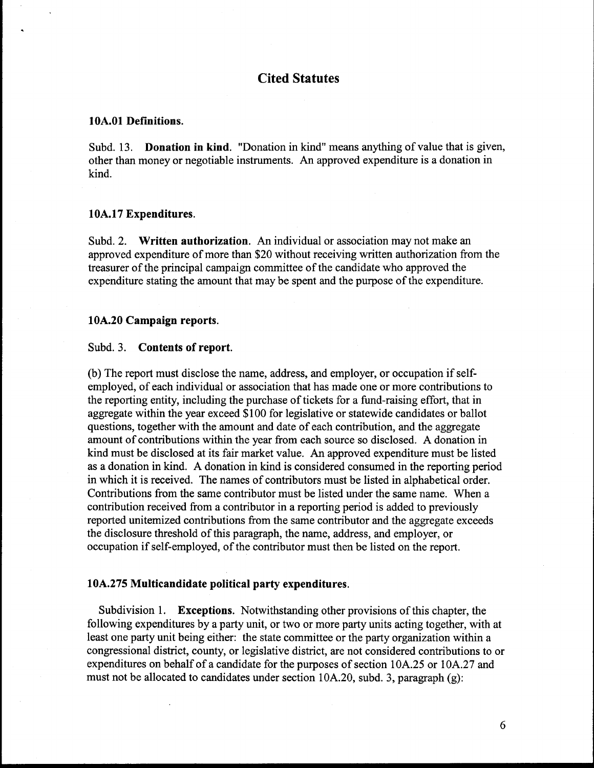## **Cited Statutes**

### **10A.O1 Definitions.**

Subd. 13. **Donation in kind.** "Donation in kind" means anything of value that is given, other than money or negotiable instruments. An approved expenditure is a donation in kind.

## **1 0A.17 Expenditures.**

Subd. 2. **Written authorization.** An individual or association may not make an approved expenditure of more than \$20 without receiving written authorization from the treasurer of the principal campaign committee of the candidate who approved the expenditure stating the amount that may be spent and the purpose of the expenditure.

## **10A.20 Campaign reports.**

## Subd. **3. Contents of report.**

(b) The report must disclose the name, address, and employer, or occupation if selfemployed, of each individual or association that has made one or more contributions to the reporting entity, including the purchase of tickets for a fund-raising effort, that in aggregate within the year exceed \$1 00 for legislative or statewide candidates or ballot questions, together with the amount and date of each contribution, and the aggregate amount of contributions within the year from each source so disclosed. A donation in kind must be disclosed at its fair market value. **An** approved expenditure must be listed as a donation in kind. A donation in kind is considered consumed in the reporting period in which it is received. The names of contributors must be listed in alphabetical order. Contributions from the same contributor must be listed under the same name. When a contribution received from a contributor in a reporting period is added to previously reported unitemized contributions from the same contributor and the aggregate exceeds the disclosure threshold of this paragraph, the name, address, and employer, or occupation if self-employed, of the contributor must then be listed on the report.

## **10A.275 Multicandidate political party expenditures.**

Subdivision 1. **Exceptions.** Notwithstanding other provisions of this chapter, the following expenditures by a party unit, or two or more party units acting together, with at least one party unit being either: the state committee or the party organization within a congressional district, county, or legislative district, are not considered contributions to or expenditures on behalf of a candidate for the purposes of section 10A.25 or 10A.27 and must not be allocated to candidates under section  $10A.20$ , subd. 3, paragraph (g):

6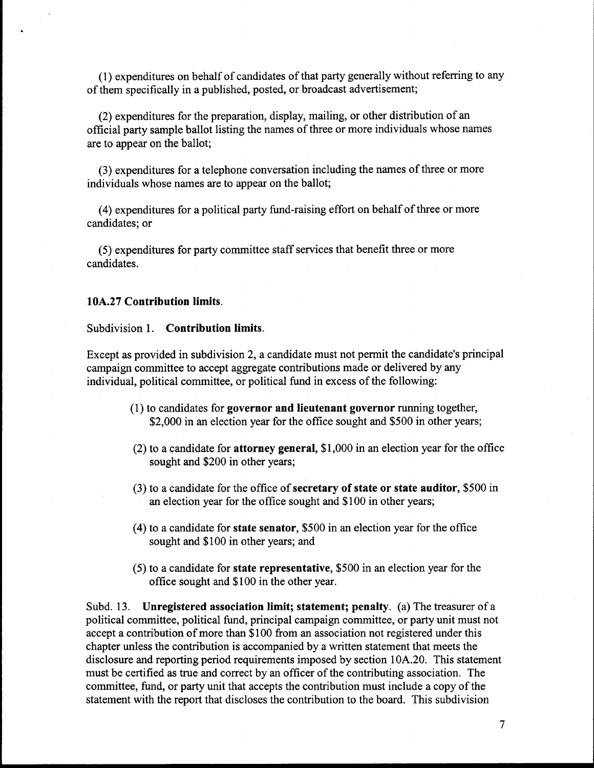(1) expenditures on behalf of candidates of that party generally without referring to any of them specifically in a published, posted, or broadcast advertisement;

(2) expenditures for the preparation, display, mailing, or other distribution of an official party sample ballot listing the names of three or more individuals whose names are to appear on the ballot;

(3) expenditures for a telephone conversation including the names of three or more individuals whose names are to appear on the ballot;

(4) expenditures for a political party fund-raising effort on behalf of three or more candidates; or

(5) expenditures for party committee staff services that benefit three or more candidates.

## **10A.27** Contribution limits.

## Subdivision 1. Contribution limits.

Except as provided in subdivision 2, a candidate must not pennit the candidate's principal campaign committee to accept aggregate contributions made or delivered by any individual, political committee, or political fund in excess of the following:

- (1) to candidates for governor and lieutenant governor running together, \$2,000 in an election year for the office sought and \$500 in other years;
- (2) to a candidate for attorney general, \$1,000 in an election year for the office sought and \$200 in other years;
- (3) to a candidate for the office of secretary of state or state auditor, \$500 in an election year for the office sought and \$100 in other years;
- (4) to a candidate for state senator, \$500 in an election year for the office sought and \$100 in other years; and
- (5) to a candidate for state representative, \$500 in an election year for the office sought and \$100 in the other year.

Subd. 13. Unregistered association limit; statement; penalty. (a) The treasurer of a political committee, political fund, principal campaign committee, or party unit must not accept a contribution of more than \$100 from an association not registered under this chapter unless the contribution is accompanied by a written statement that meets the disclosure and reporting period requirements imposed by section 10A.20. This statement must be certified **as** true and correct by an officer of the contributing association. The committee, fund, or party unit that accepts the contribution must include a copy of the statement with the report that discloses the contribution to the board. This subdivision